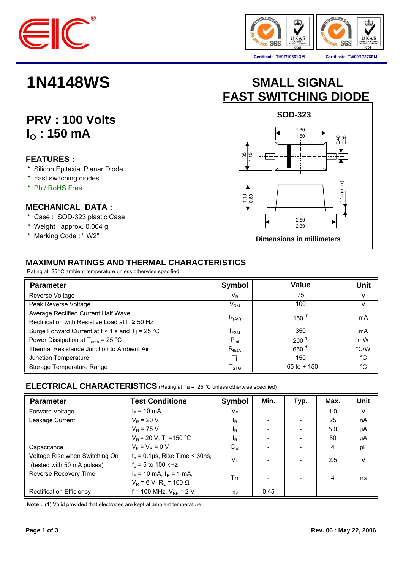



**Certificate TH97/10561QM Certificate TW00/17276EM**

# **PRV : 100 Volts I<sub>O</sub>**: 150 mA

## **FEATURES :**

- \* Silicon Epitaxial Planar Diode
- \* Fast switching diodes.
- \* Pb / RoHS Free

### **MECHANICAL DATA :**

- \* Case : SOD-323 plastic Case
- \* Weight : approx. 0.004 g
- \* Marking Code : " W2"

# **1N4148WS SMALL SIGNAL FAST SWITCHING DIODE**



## **MAXIMUM RATINGS AND THERMAL CHARACTERISTICS**

Rating at 25 °C ambient temperature unless otherwise specified.

| <b>Parameter</b>                                    | <b>Symbol</b>            | Value           | Unit        |
|-----------------------------------------------------|--------------------------|-----------------|-------------|
| Reverse Voltage                                     | $\mathsf{V}_\mathsf{R}$  | 75              | V           |
| Peak Reverse Voltage                                | $\mathsf{V}_\mathsf{RM}$ | 100             | V           |
| Average Rectified Current Half Wave                 |                          | $150^{1}$       | mA          |
| Rectification with Resistive Load at $f \geq 50$ Hz | $I_{F(AV)}$              |                 |             |
| Surge Forward Current at $t < 1$ s and Tj = 25 °C   | <sup>I</sup> FSM         | 350             | mA          |
| Power Dissipation at $T_{amb}$ = 25 °C              | $P_{\text{tot}}$         | $200^{1}$       | mW          |
| Thermal Resistance Junction to Ambient Air          | $R_{thJA}$               | $650^{1}$       | °C/W        |
| Junction Temperature                                | Τi                       | 150             | °C          |
| Storage Temperature Range                           | $T_{\mathtt{STG}}$       | $-65$ to $+150$ | $^{\circ}C$ |

### **ELECTRICAL CHARACTERISTICS** (Rating at Ta = 25 °C unless otherwise specified)

| <b>Parameter</b>                | <b>Test Conditions</b>                     | <b>Symbol</b>    | Min.                     | Typ.                     | Max.                     | <b>Unit</b> |
|---------------------------------|--------------------------------------------|------------------|--------------------------|--------------------------|--------------------------|-------------|
| Forward Voltage                 | $I_F = 10 \text{ mA}$                      | $V_{F}$          | $\overline{\phantom{0}}$ | $\overline{\phantom{a}}$ | 1.0                      | V           |
| Leakage Current                 | $V_R$ = 20 V                               | $I_R$            |                          |                          | 25                       | nA          |
|                                 | $V_{\rm R}$ = 75 V                         | <sup>I</sup> R   |                          | $\overline{\phantom{a}}$ | 5.0                      | μA          |
|                                 | $V_R$ = 20 V, Tj = 150 °C                  | <sup>I</sup> R   |                          | $\overline{\phantom{a}}$ | 50                       | μA          |
| Capacitance                     | $V_F = V_B = 0 V$                          | $C_{\text{tot}}$ |                          |                          | 4                        | pF          |
| Voltage Rise when Switching On  | $t_0$ = 0.1 µs, Rise Time < 30ns,          | $V_{\rm fr}$     |                          | $\overline{\phantom{a}}$ | 2.5                      |             |
| (tested with 50 mA pulses)      | $f_p = 5$ to 100 kHz                       |                  |                          |                          |                          |             |
| Reverse Recovery Time           | $I_F$ = 10 mA, $I_R$ = 1 mA,               | Trr              |                          |                          | 4                        | ns          |
|                                 | $V_R$ = 6 V, R <sub>i</sub> = 100 $\Omega$ |                  |                          |                          |                          |             |
| <b>Rectification Efficiency</b> | f = 100 MHz, $V_{RF}$ = 2 V                | $\eta_v$         | 0.45                     |                          | $\overline{\phantom{0}}$ |             |

 **Note :** (1) Valid provided that electrodes are kept at ambient temperature.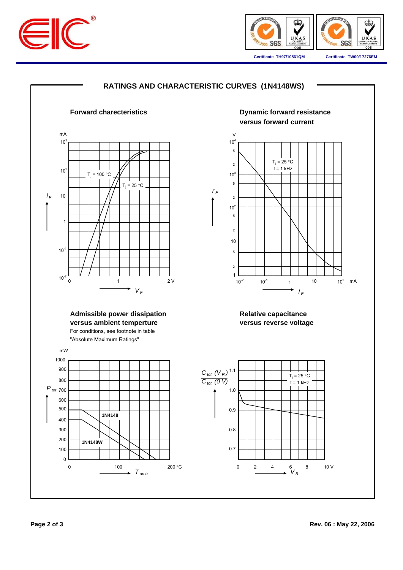



**Certificate TH97/10561QM Certificate TW00/17276EM**